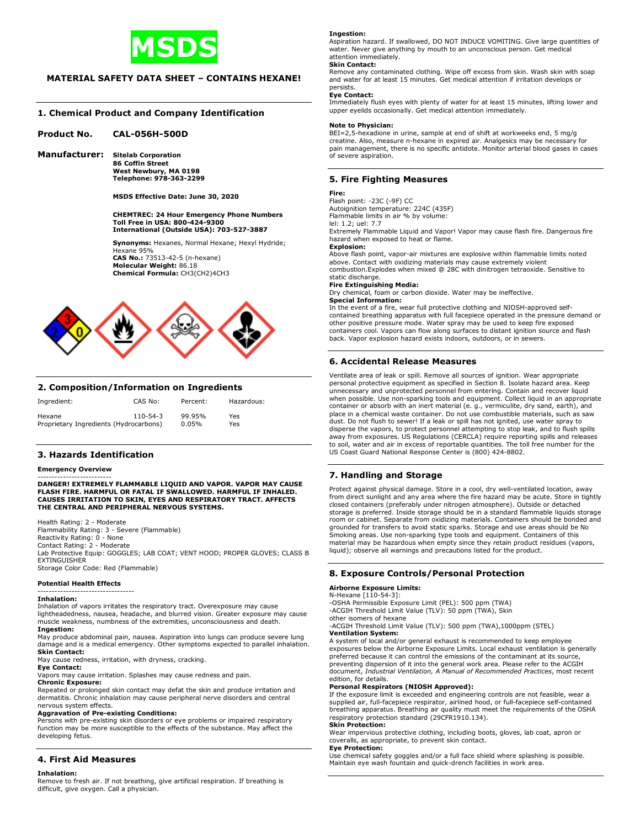

# **MATERIAL SAFETY DATA SHEET – CONTAINS HEXANE!**

# **1. Chemical Product and Company Identification**

# **Product No. CAL-056H-500D**

**Manufacturer: Sitelab Corporation 86 Coffin Street West Newbury, MA 0198 Telephone: 978-363-2299** 

 **MSDS Effective Date: June 30, 2020** 

# **CHEMTREC: 24 Hour Emergency Phone Numbers Toll Free in USA: 800-424-9300 International (Outside USA): 703-527-3887**

 **Synonyms:** Hexanes, Normal Hexane; Hexyl Hydride; Hexane 95%  **CAS No.:** 73513-42-5 (n-hexane)  **Molecular Weight:** 86.18  **Chemical Formula:** CH3(CH2)4CH3



### **2. Composition/Information on Ingredients**

| Ingredient:                            | CAS No:        | Percent: | Hazardous: |
|----------------------------------------|----------------|----------|------------|
| Hexane                                 | $110 - 54 - 3$ | 99.95%   | Yes        |
| Proprietary Ingredients (Hydrocarbons) |                | 0.05%    | Yes        |

## **3. Hazards Identification**

## **Emergency Overview**

-------------------------- **DANGER! EXTREMELY FLAMMABLE LIQUID AND VAPOR. VAPOR MAY CAUSE FLASH FIRE. HARMFUL OR FATAL IF SWALLOWED. HARMFUL IF INHALED. CAUSES IRRITATION TO SKIN, EYES AND RESPIRATORY TRACT. AFFECTS THE CENTRAL AND PERIPHERAL NERVOUS SYSTEMS.**

Health Rating: 2 - Moderate

Flammability Rating: 3 - Severe (Flammable) Reactivity Rating: 0 - None

Contact Rating: 2 - Moderate Lab Protective Equip: GOGGLES; LAB COAT; VENT HOOD; PROPER GLOVES; CLASS B EXTINGUISHER

Storage Color Code: Red (Flammable)

#### **Potential Health Effects**

#### ---------------------------------- **Inhalation:**

Inhalation of vapors irritates the respiratory tract. Overexposure may cause lightheadedness, nausea, headache, and blurred vision. Greater exposure may cause muscle weakness, numbness of the extremities, unconsciousness and death. **Ingestion:**

May produce abdominal pain, nausea. Aspiration into lungs can produce severe lung damage and is a medical emergency. Other symptoms expected to parallel inhalation. **Skin Contact:**

May cause redness, irritation, with dryness, cracking.

#### **Eye Contact:**

Vapors may cause irritation. Splashes may cause redness and pain.

**Chronic Exposure:**

Repeated or prolonged skin contact may defat the skin and produce irritation and dermatitis. Chronic inhalation may cause peripheral nerve disorders and central nervous system effects.

**Aggravation of Pre-existing Conditions:** Persons with pre-existing skin disorders or eye problems or impaired respiratory function may be more susceptible to the effects of the substance. May affect the developing fetus.

# **4. First Aid Measures**

#### **Inhalation:**

Remove to fresh air. If not breathing, give artificial respiration. If breathing is difficult, give oxygen. Call a physician.

#### **Ingestion:**

Aspiration hazard. If swallowed, DO NOT INDUCE VOMITING. Give large quantities of water. Never give anything by mouth to an unconscious person. Get medical attention immediately.

#### **Skin Contact:**

Remove any contaminated clothing. Wipe off excess from skin. Wash skin with soap and water for at least 15 minutes. Get medical attention if irritation develops or persists.

#### **Eye Contact:**

Immediately flush eyes with plenty of water for at least 15 minutes, lifting lower and upper eyelids occasionally. Get medical attention immediately.

#### **Note to Physician:**

BEI=2,5-hexadione in urine, sample at end of shift at workweeks end, 5 mg/g creatine. Also, measure n-hexane in expired air. Analgesics may be necessary for pain management, there is no specific antidote. Monitor arterial blood gases in cases of severe aspiration.

## **5. Fire Fighting Measures**

#### **Fire:**

Flash point: -23C (-9F) CC Autoignition temperature: 224C (435F)

Flammable limits in air % by volume: lel: 1.2; uel: 7.7

Extremely Flammable Liquid and Vapor! Vapor may cause flash fire. Dangerous fire hazard when exposed to heat or flame.

#### **Explosion:**

Above flash point, vapor-air mixtures are explosive within flammable limits noted above. Contact with oxidizing materials may cause extremely violent combustion.Explodes when mixed @ 28C with dinitrogen tetraoxide. Sensitive to static discharge. **Fire Extinguishing Media:**

Dry chemical, foam or carbon dioxide. Water may be ineffective. **Special Information:**

In the event of a fire, wear full protective clothing and NIOSH-approved self-contained breathing apparatus with full facepiece operated in the pressure demand or other positive pressure mode. Water spray may be used to keep fire exposed containers cool. Vapors can flow along surfaces to distant ignition source and flash back. Vapor explosion hazard exists indoors, outdoors, or in sewers.

# **6. Accidental Release Measures**

Ventilate area of leak or spill. Remove all sources of ignition. Wear appropriate personal protective equipment as specified in Section 8. Isolate hazard area. Keep unnecessary and unprotected personnel from entering. Contain and recover liquid<br>when possible. Use non-sparking tools and equipment. Collect liquid in an appropriate<br>container or absorb with an inert material (e. g., vermi dust. Do not flush to sewer! If a leak or spill has not ignited, use water spray to disperse the vapors, to protect personnel attempting to stop leak, and to flush spills away from exposures. US Regulations (CERCLA) require reporting spills and releases to soil, water and air in excess of reportable quantities. The toll free number for the US Coast Guard National Response Center is (800) 424-8802.

# **7. Handling and Storage**

Protect against physical damage. Store in a cool, dry well-ventilated location, away from direct sunlight and any area where the fire hazard may be acute. Store in tightly closed containers (preferably under nitrogen atmosphere). Outside or detached storage is preferred. Inside storage should be in a standard flammable liquids storage room or cabinet. Separate from oxidizing materials. Containers should be bonded and grounded for transfers to avoid static sparks. Storage and use areas should be No Smoking areas. Use non-sparking type tools and equipment. Containers of this material may be hazardous when empty since they retain product residues (vapors, liquid); observe all warnings and precautions listed for the product.

# **8. Exposure Controls/Personal Protection**

#### **Airborne Exposure Limits:**

N-Hexane [110-54-3]: -OSHA Permissible Exposure Limit (PEL): 500 ppm (TWA)

-ACGIH Threshold Limit Value (TLV): 50 ppm (TWA), Skin

other isomers of hexane

-ACGIH Threshold Limit Value (TLV): 500 ppm (TWA),1000ppm (STEL) **Ventilation System:**

A system of local and/or general exhaust is recommended to keep employee exposures below the Airborne Exposure Limits. Local exhaust ventilation is generally preferred because it can control the emissions of the contaminant at its source, preventing dispersion of it into the general work area. Please refer to the ACGIH document, *Industrial Ventilation, A Manual of Recommended Practices*, most recent edition, for details.

#### **Personal Respirators (NIOSH Approved):**

If the exposure limit is exceeded and engineering controls are not feasible, wear a supplied air, full-facepiece respirator, airlined hood, or full-facepiece self-contained breathing apparatus. Breathing air quality must meet the requirements of the OSHA respiratory protection standard (29CFR1910.134).

# **Skin Protection:**

Wear impervious protective clothing, including boots, gloves, lab coat, apron or coveralls, as appropriate, to prevent skin contact.

# **Eye Protection:**

Use chemical safety goggles and/or a full face shield where splashing is possible. Maintain eye wash fountain and quick-drench facilities in work area.